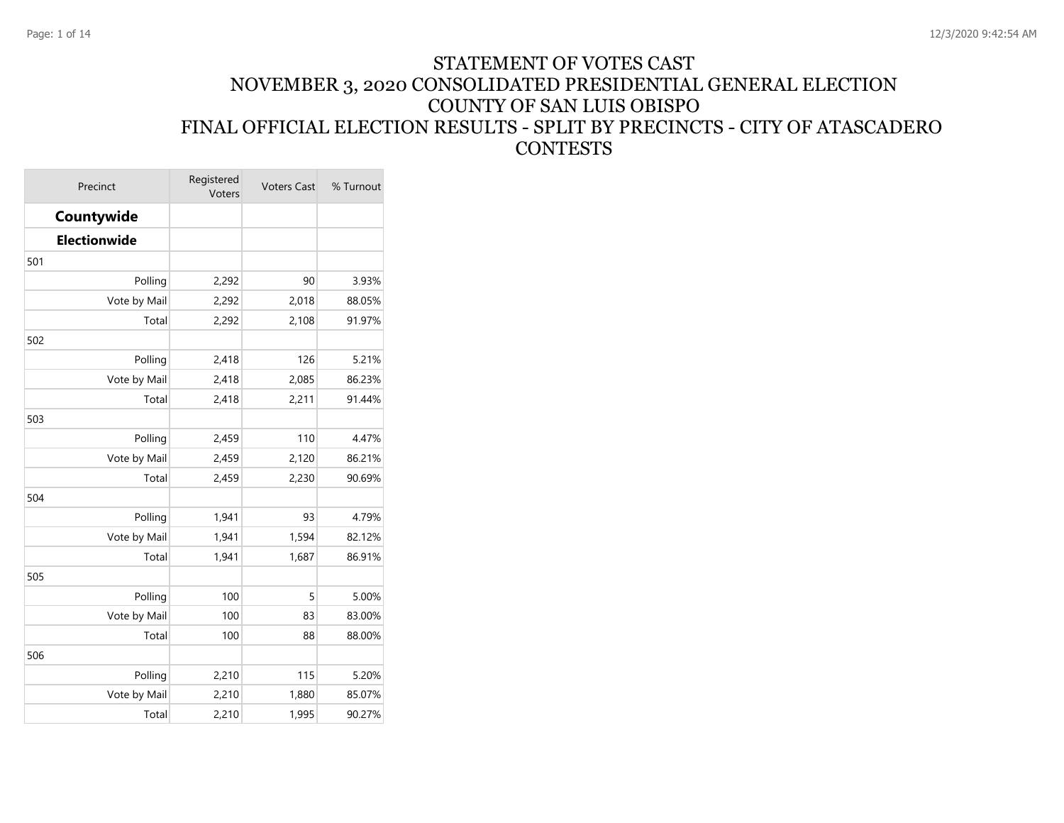#### STATEMENT OF VOTES CAST NOVEMBER 3, 2020 CONSOLIDATED PRESIDENTIAL GENERAL ELECTION COUNTY OF SAN LUIS OBISPO FINAL OFFICIAL ELECTION RESULTS - SPLIT BY PRECINCTS - CITY OF ATASCADERO **CONTESTS**

| Precinct     | Registered<br>Voters | <b>Voters Cast</b> | % Turnout |
|--------------|----------------------|--------------------|-----------|
| Countywide   |                      |                    |           |
| Electionwide |                      |                    |           |
| 501          |                      |                    |           |
| Polling      | 2,292                | 90                 | 3.93%     |
| Vote by Mail | 2,292                | 2,018              | 88.05%    |
| Total        | 2,292                | 2,108              | 91.97%    |
| 502          |                      |                    |           |
| Polling      | 2,418                | 126                | 5.21%     |
| Vote by Mail | 2,418                | 2,085              | 86.23%    |
| Total        | 2,418                | 2,211              | 91.44%    |
| 503          |                      |                    |           |
| Polling      | 2,459                | 110                | 4.47%     |
| Vote by Mail | 2,459                | 2,120              | 86.21%    |
| Total        | 2,459                | 2,230              | 90.69%    |
| 504          |                      |                    |           |
| Polling      | 1,941                | 93                 | 4.79%     |
| Vote by Mail | 1,941                | 1,594              | 82.12%    |
| Total        | 1,941                | 1,687              | 86.91%    |
| 505          |                      |                    |           |
| Polling      | 100                  | 5                  | 5.00%     |
| Vote by Mail | 100                  | 83                 | 83.00%    |
| Total        | 100                  | 88                 | 88.00%    |
| 506          |                      |                    |           |
| Polling      | 2,210                | 115                | 5.20%     |
| Vote by Mail | 2,210                | 1,880              | 85.07%    |
| Total        | 2,210                | 1,995              | 90.27%    |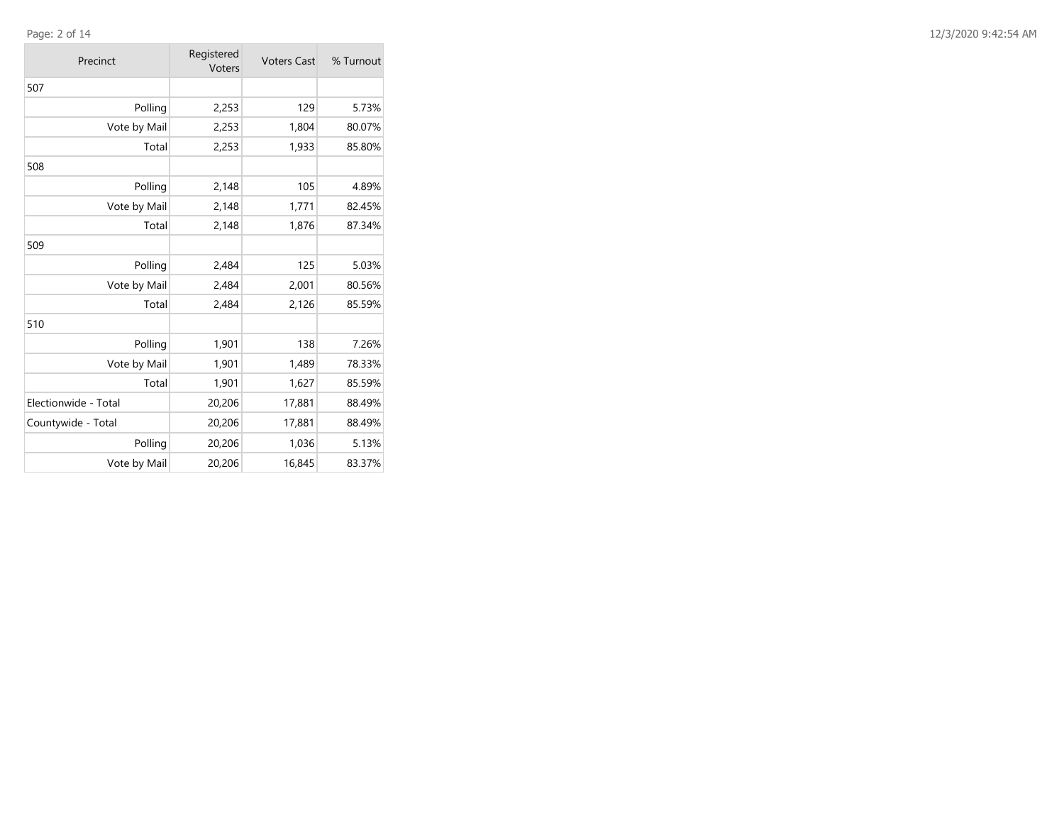#### Page: 2 of 14

 $\sim$ 

| Precinct             | Registered<br>Voters | <b>Voters Cast</b> | % Turnout |
|----------------------|----------------------|--------------------|-----------|
| 507                  |                      |                    |           |
| Polling              | 2,253                | 129                | 5.73%     |
| Vote by Mail         | 2,253                | 1,804              | 80.07%    |
| Total                | 2,253                | 1,933              | 85.80%    |
| 508                  |                      |                    |           |
| Polling              | 2,148                | 105                | 4.89%     |
| Vote by Mail         | 2,148                | 1,771              | 82.45%    |
| Total                | 2,148                | 1,876              | 87.34%    |
| 509                  |                      |                    |           |
| Polling              | 2,484                | 125                | 5.03%     |
| Vote by Mail         | 2,484                | 2,001              | 80.56%    |
| Total                | 2,484                | 2,126              | 85.59%    |
| 510                  |                      |                    |           |
| Polling              | 1,901                | 138                | 7.26%     |
| Vote by Mail         | 1,901                | 1,489              | 78.33%    |
| Total                | 1,901                | 1,627              | 85.59%    |
| Electionwide - Total | 20,206               | 17,881             | 88.49%    |
| Countywide - Total   | 20,206               | 17,881             | 88.49%    |
| Polling              | 20,206               | 1,036              | 5.13%     |
| Vote by Mail         | 20,206               | 16,845             | 83.37%    |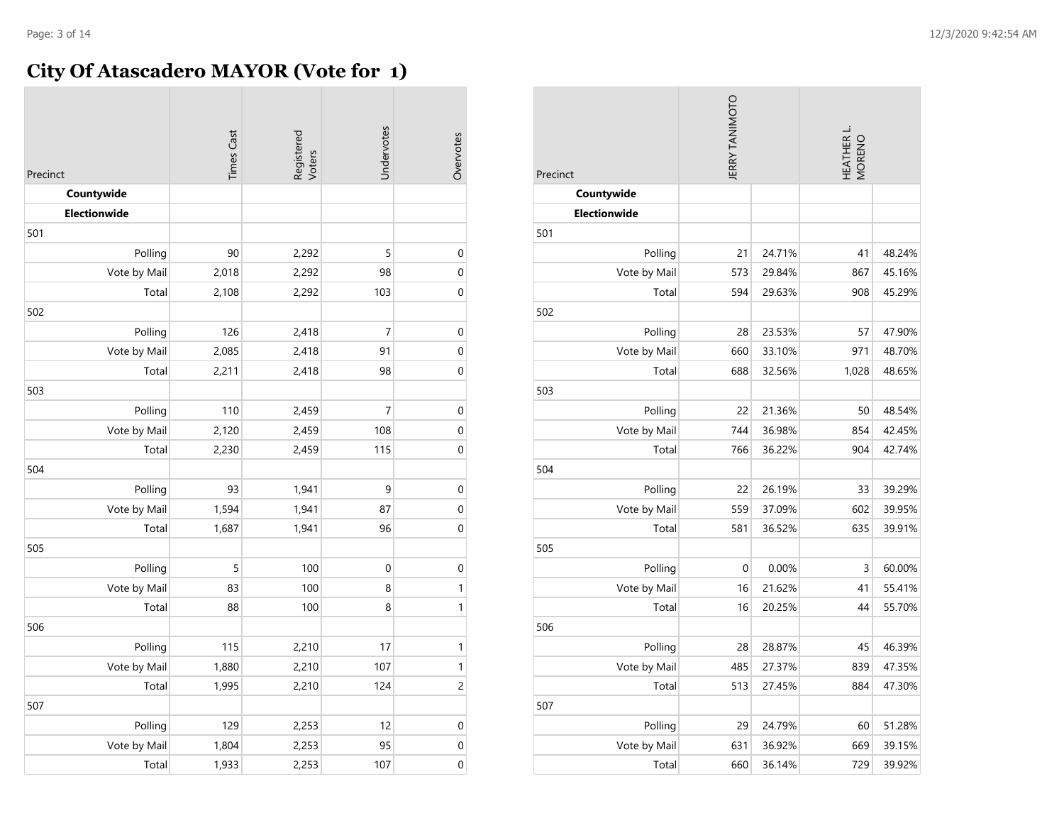# **City Of Atascadero MAYOR (Vote for 1)**

| Precinct     | <b>Times Cast</b> | Registered<br>Voters | Undervotes     | Overvotes      |
|--------------|-------------------|----------------------|----------------|----------------|
| Countywide   |                   |                      |                |                |
| Electionwide |                   |                      |                |                |
| 501          |                   |                      |                |                |
| Polling      | 90                | 2,292                | 5              | $\mathbf 0$    |
| Vote by Mail | 2,018             | 2,292                | 98             | $\mathbf 0$    |
| Total        | 2,108             | 2,292                | 103            | $\mathbf 0$    |
| 502          |                   |                      |                |                |
| Polling      | 126               | 2,418                | 7              | $\mathbf{0}$   |
| Vote by Mail | 2,085             | 2,418                | 91             | $\mathbf 0$    |
| Total        | 2,211             | 2,418                | 98             | $\mathbf 0$    |
| 503          |                   |                      |                |                |
| Polling      | 110               | 2,459                | $\overline{7}$ | $\mathbf 0$    |
| Vote by Mail | 2,120             | 2,459                | 108            | $\mathbf 0$    |
| Total        | 2,230             | 2,459                | 115            | $\mathbf 0$    |
| 504          |                   |                      |                |                |
| Polling      | 93                | 1,941                | 9              | $\mathbf 0$    |
| Vote by Mail | 1,594             | 1,941                | 87             | $\mathbf 0$    |
| Total        | 1,687             | 1,941                | 96             | $\mathbf 0$    |
| 505          |                   |                      |                |                |
| Polling      | 5                 | 100                  | $\mathbf 0$    | $\mathbf 0$    |
| Vote by Mail | 83                | 100                  | 8              | $\mathbf{1}$   |
| Total        | 88                | 100                  | 8              | $\mathbf{1}$   |
| 506          |                   |                      |                |                |
| Polling      | 115               | 2,210                | 17             | $\mathbf{1}$   |
| Vote by Mail | 1,880             | 2,210                | 107            | $\mathbf{1}$   |
| Total        | 1,995             | 2,210                | 124            | $\overline{c}$ |
| 507          |                   |                      |                |                |
| Polling      | 129               | 2,253                | 12             | $\mathbf 0$    |
| Vote by Mail | 1,804             | 2,253                | 95             | $\mathbf 0$    |
| Total        | 1,933             | 2,253                | 107            | $\overline{0}$ |

| <b>JERRY TANIMOTO</b><br>Precinct |             |        | HEATHER L<br>MORENO |        |  |
|-----------------------------------|-------------|--------|---------------------|--------|--|
| Countywide                        |             |        |                     |        |  |
| <b>Electionwide</b>               |             |        |                     |        |  |
| 501                               |             |        |                     |        |  |
| Polling                           | 21          | 24.71% | 41                  | 48.24% |  |
| Vote by Mail                      | 573         | 29.84% | 867                 | 45.16% |  |
| Total                             | 594         | 29.63% | 908                 | 45.29% |  |
| 502                               |             |        |                     |        |  |
| Polling                           | 28          | 23.53% | 57                  | 47.90% |  |
| Vote by Mail                      | 660         | 33.10% | 971                 | 48.70% |  |
| Total                             | 688         | 32.56% | 1,028               | 48.65% |  |
| 503                               |             |        |                     |        |  |
| Polling                           | 22          | 21.36% | 50                  | 48.54% |  |
| Vote by Mail                      | 744         | 36.98% | 854                 | 42.45% |  |
| Total                             | 766         | 36.22% | 904                 | 42.74% |  |
| 504                               |             |        |                     |        |  |
| Polling                           | 22          | 26.19% | 33                  | 39.29% |  |
| Vote by Mail                      | 559         | 37.09% | 602                 | 39.95% |  |
| Total                             | 581         | 36.52% | 635                 | 39.91% |  |
| 505                               |             |        |                     |        |  |
| Polling                           | $\mathbf 0$ | 0.00%  | 3                   | 60.00% |  |
| Vote by Mail                      | 16          | 21.62% | 41                  | 55.41% |  |
| Total                             | 16          | 20.25% | 44                  | 55.70% |  |
| 506                               |             |        |                     |        |  |
| Polling                           | 28          | 28.87% | 45                  | 46.39% |  |
| Vote by Mail                      | 485         | 27.37% | 839                 | 47.35% |  |
| Total                             | 513         | 27.45% | 884                 | 47.30% |  |
| 507                               |             |        |                     |        |  |
| Polling                           | 29          | 24.79% | 60                  | 51.28% |  |
| Vote by Mail                      | 631         | 36.92% | 669                 | 39.15% |  |
| Total                             | 660         | 36.14% | 729                 | 39.92% |  |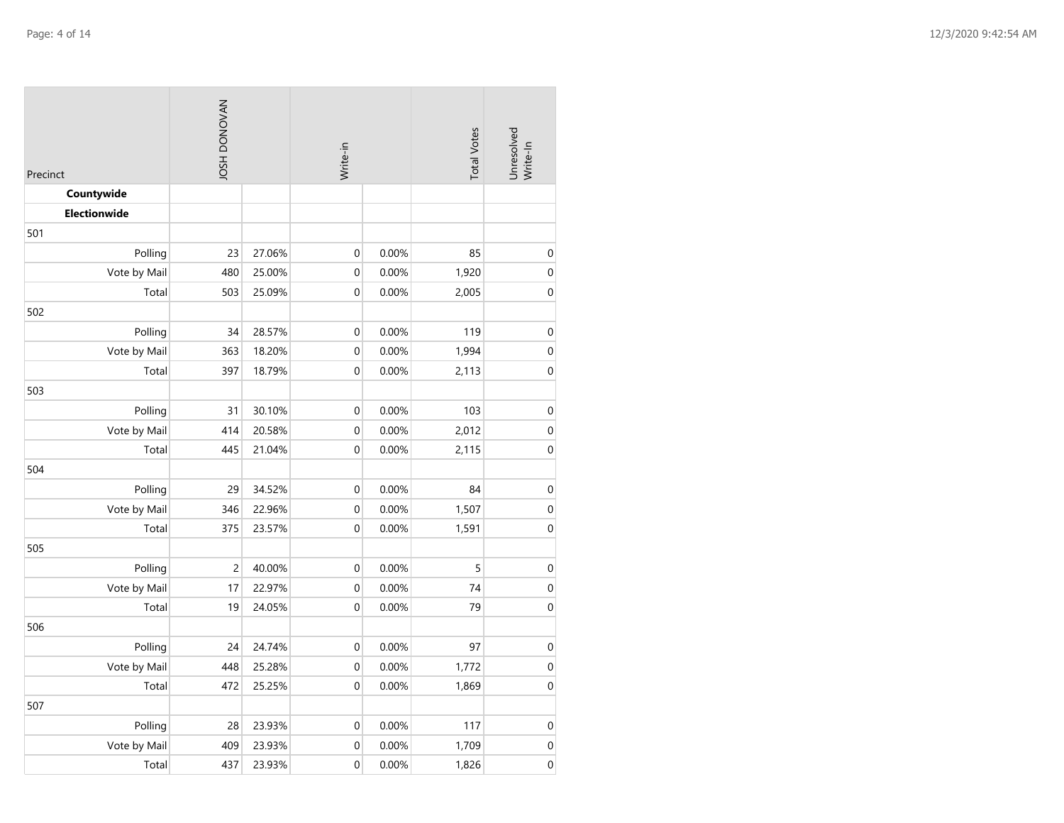| Precinct     |                |        |                  |       | <b>IOSH DONOVAN</b><br><b>Total Votes</b><br>Write-in |             | Unresolved<br>Write-In |
|--------------|----------------|--------|------------------|-------|-------------------------------------------------------|-------------|------------------------|
| Countywide   |                |        |                  |       |                                                       |             |                        |
| Electionwide |                |        |                  |       |                                                       |             |                        |
| 501          |                |        |                  |       |                                                       |             |                        |
| Polling      | 23             | 27.06% | $\pmb{0}$        | 0.00% | 85                                                    | $\mathbf 0$ |                        |
| Vote by Mail | 480            | 25.00% | $\boldsymbol{0}$ | 0.00% | 1,920                                                 | $\mathbf 0$ |                        |
| Total        | 503            | 25.09% | $\mathbf 0$      | 0.00% | 2,005                                                 | $\mathbf 0$ |                        |
| 502          |                |        |                  |       |                                                       |             |                        |
| Polling      | 34             | 28.57% | $\pmb{0}$        | 0.00% | 119                                                   | $\pmb{0}$   |                        |
| Vote by Mail | 363            | 18.20% | $\boldsymbol{0}$ | 0.00% | 1,994                                                 | $\mathbf 0$ |                        |
| Total        | 397            | 18.79% | $\mathbf 0$      | 0.00% | 2,113                                                 | $\mathbf 0$ |                        |
| 503          |                |        |                  |       |                                                       |             |                        |
| Polling      | 31             | 30.10% | $\boldsymbol{0}$ | 0.00% | 103                                                   | $\mbox{O}$  |                        |
| Vote by Mail | 414            | 20.58% | $\mathbf 0$      | 0.00% | 2,012                                                 | $\pmb{0}$   |                        |
| Total        | 445            | 21.04% | $\mathbf 0$      | 0.00% | 2,115                                                 | $\mathbf 0$ |                        |
| 504          |                |        |                  |       |                                                       |             |                        |
| Polling      | 29             | 34.52% | $\mathbf 0$      | 0.00% | 84                                                    | $\mathbf 0$ |                        |
| Vote by Mail | 346            | 22.96% | $\mathbf 0$      | 0.00% | 1,507                                                 | $\mathbf 0$ |                        |
| Total        | 375            | 23.57% | $\pmb{0}$        | 0.00% | 1,591                                                 | $\pmb{0}$   |                        |
| 505          |                |        |                  |       |                                                       |             |                        |
| Polling      | $\overline{c}$ | 40.00% | $\boldsymbol{0}$ | 0.00% | 5                                                     | $\pmb{0}$   |                        |
| Vote by Mail | 17             | 22.97% | $\mathbf 0$      | 0.00% | 74                                                    | $\mathbf 0$ |                        |
| Total        | 19             | 24.05% | $\boldsymbol{0}$ | 0.00% | 79                                                    | $\pmb{0}$   |                        |
| 506          |                |        |                  |       |                                                       |             |                        |
| Polling      | 24             | 24.74% | $\boldsymbol{0}$ | 0.00% | 97                                                    | $\mathbf 0$ |                        |
| Vote by Mail | 448            | 25.28% | $\mathbf 0$      | 0.00% | 1,772                                                 | $\pmb{0}$   |                        |
| Total        | 472            | 25.25% | $\mathbf 0$      | 0.00% | 1,869                                                 | $\pmb{0}$   |                        |
| 507          |                |        |                  |       |                                                       |             |                        |
| Polling      | 28             | 23.93% | $\mathbf 0$      | 0.00% | 117                                                   | $\pmb{0}$   |                        |
| Vote by Mail | 409            | 23.93% | $\boldsymbol{0}$ | 0.00% | 1,709                                                 | $\pmb{0}$   |                        |
| Total        | 437            | 23.93% | $\mathbf 0$      | 0.00% | 1,826                                                 | $\mathbf 0$ |                        |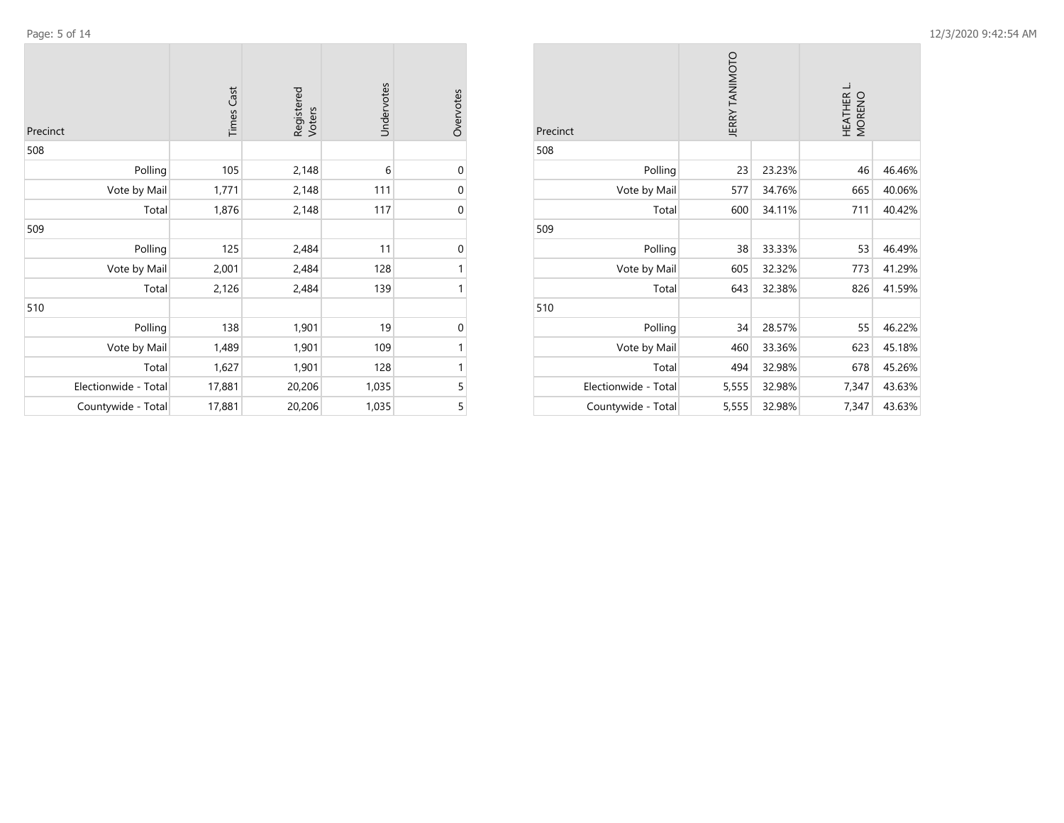$\sim$ 

 $\mathcal{L}$ 

| Precinct             | <b>Times Cast</b> | Registered<br>Voters | Undervotes | Overvotes   |
|----------------------|-------------------|----------------------|------------|-------------|
| 508                  |                   |                      |            |             |
| Polling              | 105               | 2,148                | 6          | $\mathbf 0$ |
| Vote by Mail         | 1,771             | 2,148                | 111        | $\mathbf 0$ |
| Total                | 1,876             | 2,148                | 117        | $\mathbf 0$ |
| 509                  |                   |                      |            |             |
| Polling              | 125               | 2,484                | 11         | $\mathbf 0$ |
| Vote by Mail         | 2,001             | 2,484                | 128        | 1           |
| Total                | 2,126             | 2,484                | 139        | 1           |
| 510                  |                   |                      |            |             |
| Polling              | 138               | 1,901                | 19         | $\mathbf 0$ |
| Vote by Mail         | 1,489             | 1,901                | 109        | 1           |
| Total                | 1,627             | 1,901                | 128        | 1           |
| Electionwide - Total | 17,881            | 20,206               | 1,035      | 5           |
| Countywide - Total   | 17,881            | 20,206               | 1,035      | 5           |

| Precinct             | <b>JERRY TANIMOTO</b> |        | HEATHER L.<br>MORENO |        |
|----------------------|-----------------------|--------|----------------------|--------|
| 508                  |                       |        |                      |        |
| Polling              | 23                    | 23.23% | 46                   | 46.46% |
| Vote by Mail         | 577                   | 34.76% | 665                  | 40.06% |
| Total                | 600                   | 34.11% | 711                  | 40.42% |
| 509                  |                       |        |                      |        |
| Polling              | 38                    | 33.33% | 53                   | 46.49% |
| Vote by Mail         | 605                   | 32.32% | 773                  | 41.29% |
| Total                | 643                   | 32.38% | 826                  | 41.59% |
| 510                  |                       |        |                      |        |
| Polling              | 34                    | 28.57% | 55                   | 46.22% |
| Vote by Mail         | 460                   | 33.36% | 623                  | 45.18% |
| Total                | 494                   | 32.98% | 678                  | 45.26% |
| Electionwide - Total | 5,555                 | 32.98% | 7,347                | 43.63% |
| Countywide - Total   | 5,555                 | 32.98% | 7,347                | 43.63% |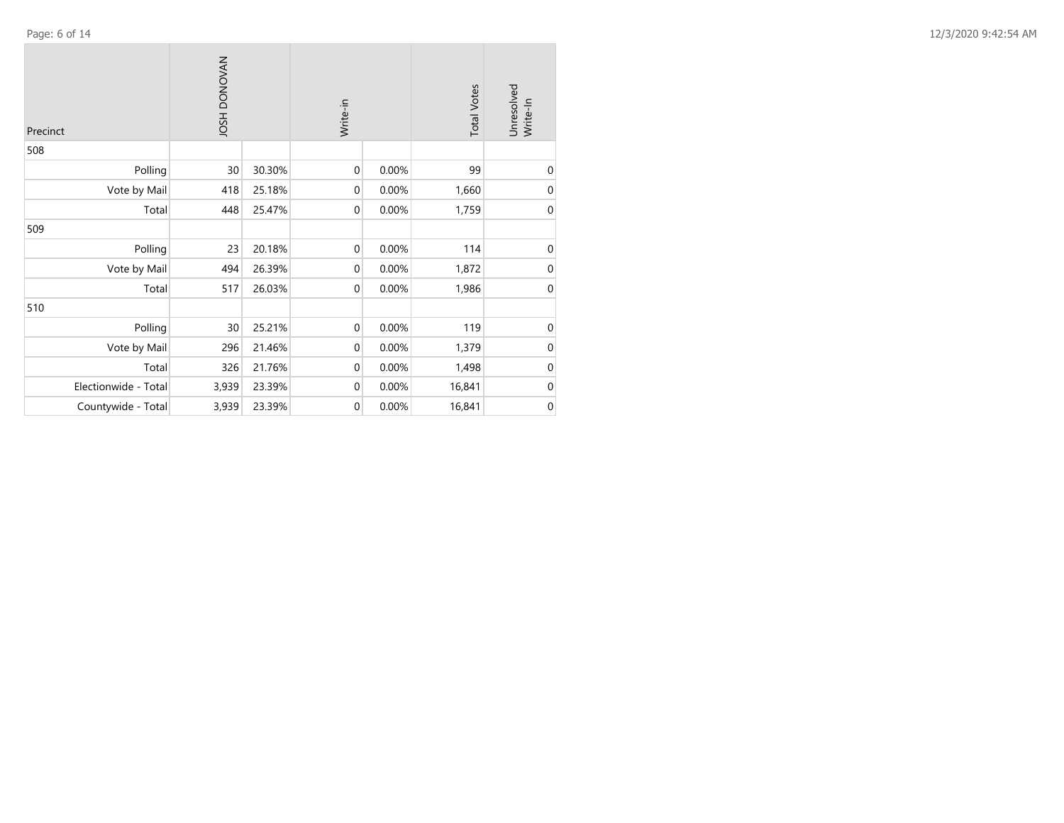| Precinct             | <b>NAVONOU HSOL</b> |        | Write-in         |       | <b>Total Votes</b> | Unresolved<br>Write-In |
|----------------------|---------------------|--------|------------------|-------|--------------------|------------------------|
| 508                  |                     |        |                  |       |                    |                        |
| Polling              | 30                  | 30.30% | $\mathbf 0$      | 0.00% | 99                 | $\mathbf 0$            |
| Vote by Mail         | 418                 | 25.18% | $\mathbf 0$      | 0.00% | 1,660              | $\mathbf 0$            |
| Total                | 448                 | 25.47% | $\mathbf 0$      | 0.00% | 1,759              | $\mathbf 0$            |
| 509                  |                     |        |                  |       |                    |                        |
| Polling              | 23                  | 20.18% | $\boldsymbol{0}$ | 0.00% | 114                | $\boldsymbol{0}$       |
| Vote by Mail         | 494                 | 26.39% | $\mathbf 0$      | 0.00% | 1,872              | $\boldsymbol{0}$       |
| Total                | 517                 | 26.03% | $\boldsymbol{0}$ | 0.00% | 1,986              | $\boldsymbol{0}$       |
| 510                  |                     |        |                  |       |                    |                        |
| Polling              | 30                  | 25.21% | $\boldsymbol{0}$ | 0.00% | 119                | $\mathbf 0$            |
| Vote by Mail         | 296                 | 21.46% | $\mathbf 0$      | 0.00% | 1,379              | $\boldsymbol{0}$       |
| Total                | 326                 | 21.76% | $\boldsymbol{0}$ | 0.00% | 1,498              | $\boldsymbol{0}$       |
| Electionwide - Total | 3,939               | 23.39% | $\boldsymbol{0}$ | 0.00% | 16,841             | $\pmb{0}$              |
| Countywide - Total   | 3,939               | 23.39% | $\boldsymbol{0}$ | 0.00% | 16,841             | $\mathbf 0$            |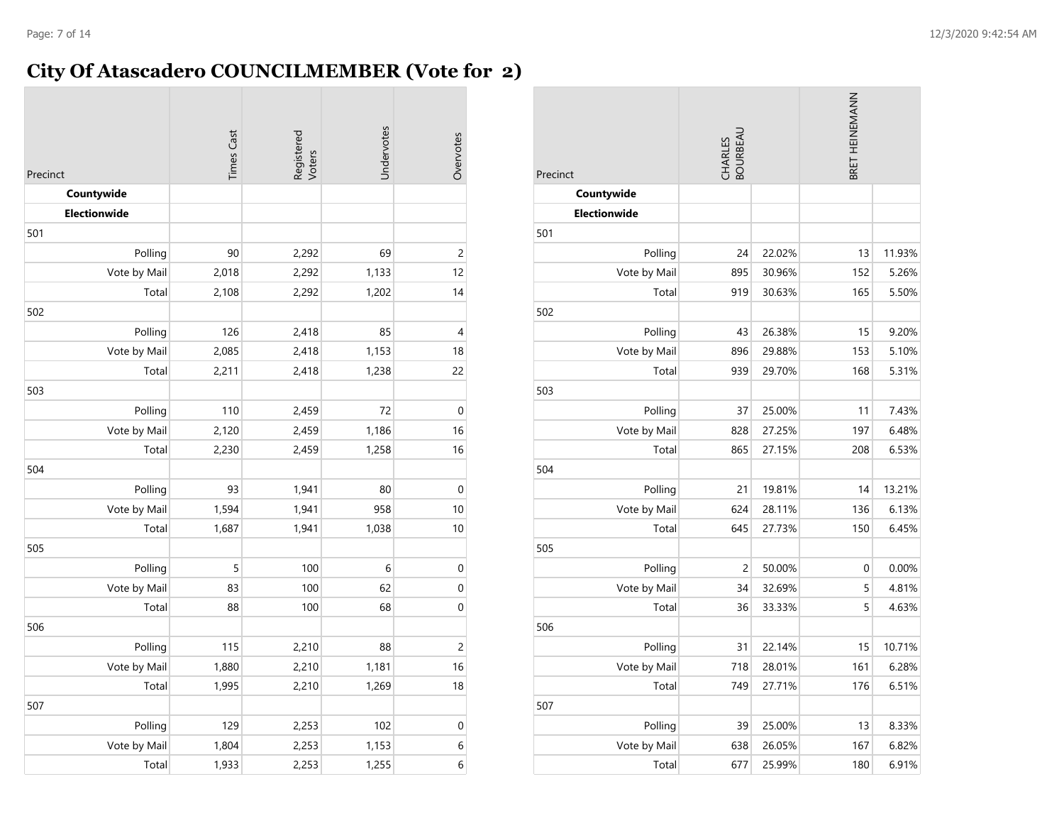# **City Of Atascadero COUNCILMEMBER (Vote for 2)**

| Precinct            | <b>Times Cast</b> | Registered<br>Voters | Undervotes | Overvotes      |
|---------------------|-------------------|----------------------|------------|----------------|
| Countywide          |                   |                      |            |                |
| <b>Electionwide</b> |                   |                      |            |                |
| 501                 |                   |                      |            |                |
| Polling             | 90                | 2,292                | 69         | $\overline{c}$ |
| Vote by Mail        | 2,018             | 2,292                | 1,133      | 12             |
| Total               | 2,108             | 2,292                | 1,202      | 14             |
| 502                 |                   |                      |            |                |
| Polling             | 126               | 2,418                | 85         | 4              |
| Vote by Mail        | 2,085             | 2,418                | 1,153      | 18             |
| Total               | 2,211             | 2,418                | 1,238      | 22             |
| 503                 |                   |                      |            |                |
| Polling             | 110               | 2,459                | 72         | $\mathbf 0$    |
| Vote by Mail        | 2,120             | 2,459                | 1,186      | 16             |
| Total               | 2,230             | 2,459                | 1,258      | 16             |
| 504                 |                   |                      |            |                |
| Polling             | 93                | 1,941                | 80         | $\mathbf 0$    |
| Vote by Mail        | 1,594             | 1,941                | 958        | 10             |
| Total               | 1,687             | 1,941                | 1,038      | 10             |
| 505                 |                   |                      |            |                |
| Polling             | 5                 | 100                  | 6          | $\mathbf 0$    |
| Vote by Mail        | 83                | 100                  | 62         | $\mathbf 0$    |
| Total               | 88                | 100                  | 68         | $\pmb{0}$      |
| 506                 |                   |                      |            |                |
| Polling             | 115               | 2,210                | 88         | $\overline{c}$ |
| Vote by Mail        | 1,880             | 2,210                | 1,181      | 16             |
| Total               | 1,995             | 2,210                | 1,269      | 18             |
| 507                 |                   |                      |            |                |
| Polling             | 129               | 2,253                | 102        | $\pmb{0}$      |
| Vote by Mail        | 1,804             | 2,253                | 1,153      | 6              |
| Total               | 1,933             | 2,253                | 1,255      | 6              |

| Precinct            | CHARLES<br>BOURBEAU |        | BRET HEINEMANN |        |
|---------------------|---------------------|--------|----------------|--------|
| Countywide          |                     |        |                |        |
| <b>Electionwide</b> |                     |        |                |        |
| 501                 |                     |        |                |        |
| Polling             | 24                  | 22.02% | 13             | 11.93% |
| Vote by Mail        | 895                 | 30.96% | 152            | 5.26%  |
| Total               | 919                 | 30.63% | 165            | 5.50%  |
| 502                 |                     |        |                |        |
| Polling             | 43                  | 26.38% | 15             | 9.20%  |
| Vote by Mail        | 896                 | 29.88% | 153            | 5.10%  |
| Total               | 939                 | 29.70% | 168            | 5.31%  |
| 503                 |                     |        |                |        |
| Polling             | 37                  | 25.00% | 11             | 7.43%  |
| Vote by Mail        | 828                 | 27.25% | 197            | 6.48%  |
| Total               | 865                 | 27.15% | 208            | 6.53%  |
| 504                 |                     |        |                |        |
| Polling             | 21                  | 19.81% | 14             | 13.21% |
| Vote by Mail        | 624                 | 28.11% | 136            | 6.13%  |
| Total               | 645                 | 27.73% | 150            | 6.45%  |
| 505                 |                     |        |                |        |
| Polling             | $\overline{c}$      | 50.00% | 0              | 0.00%  |
| Vote by Mail        | 34                  | 32.69% | 5              | 4.81%  |
| Total               | 36                  | 33.33% | 5              | 4.63%  |
| 506                 |                     |        |                |        |
| Polling             | 31                  | 22.14% | 15             | 10.71% |
| Vote by Mail        | 718                 | 28.01% | 161            | 6.28%  |
| Total               | 749                 | 27.71% | 176            | 6.51%  |
| 507                 |                     |        |                |        |
| Polling             | 39                  | 25.00% | 13             | 8.33%  |
| Vote by Mail        | 638                 | 26.05% | 167            | 6.82%  |
| Total               | 677                 | 25.99% | 180            | 6.91%  |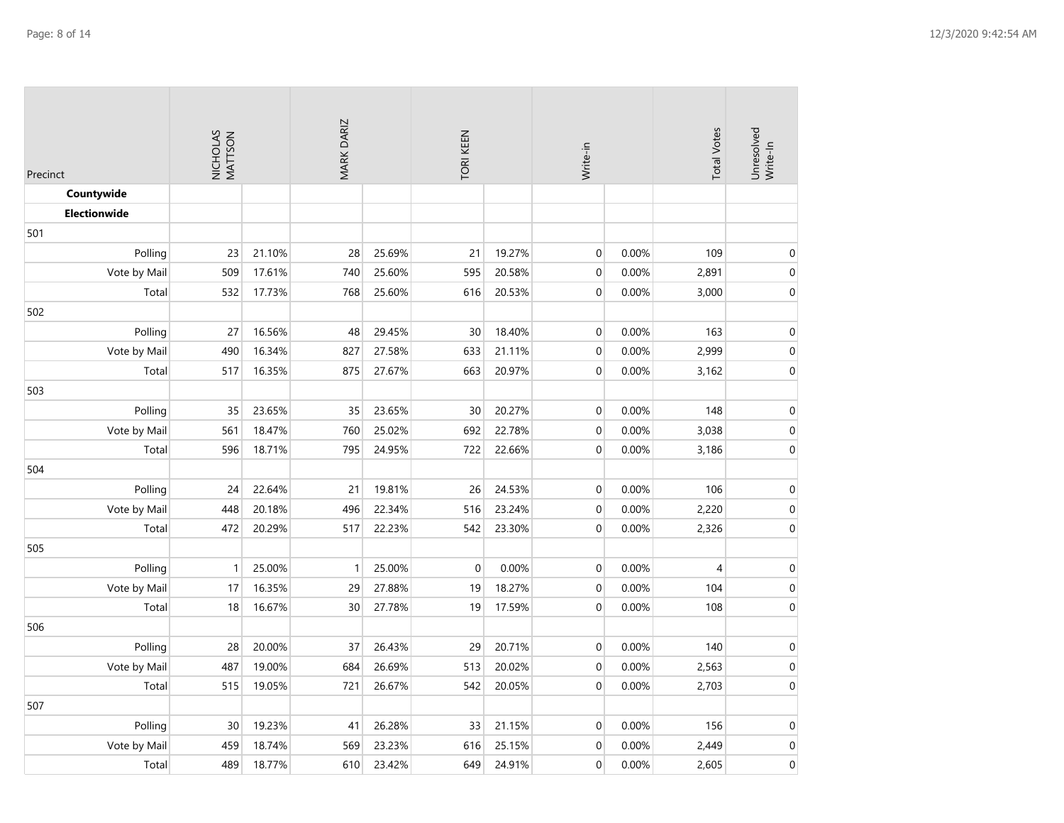| Precinct            | NICHOLAS<br>MATTSON |        | MARK DARIZ   |        | TORI KEEN |        | Write-in         |       | <b>Total Votes</b> | Unresolved<br>Write-In |
|---------------------|---------------------|--------|--------------|--------|-----------|--------|------------------|-------|--------------------|------------------------|
| Countywide          |                     |        |              |        |           |        |                  |       |                    |                        |
| <b>Electionwide</b> |                     |        |              |        |           |        |                  |       |                    |                        |
| 501                 |                     |        |              |        |           |        |                  |       |                    |                        |
| Polling             | 23                  | 21.10% | 28           | 25.69% | 21        | 19.27% | $\mbox{O}$       | 0.00% | 109                | $\boldsymbol{0}$       |
| Vote by Mail        | 509                 | 17.61% | 740          | 25.60% | 595       | 20.58% | $\boldsymbol{0}$ | 0.00% | 2,891              | $\boldsymbol{0}$       |
| Total               | 532                 | 17.73% | 768          | 25.60% | 616       | 20.53% | $\boldsymbol{0}$ | 0.00% | 3,000              | $\boldsymbol{0}$       |
| 502                 |                     |        |              |        |           |        |                  |       |                    |                        |
| Polling             | 27                  | 16.56% | 48           | 29.45% | 30        | 18.40% | $\boldsymbol{0}$ | 0.00% | 163                | $\boldsymbol{0}$       |
| Vote by Mail        | 490                 | 16.34% | 827          | 27.58% | 633       | 21.11% | $\mathbf 0$      | 0.00% | 2,999              | $\boldsymbol{0}$       |
| Total               | 517                 | 16.35% | 875          | 27.67% | 663       | 20.97% | $\mathbf 0$      | 0.00% | 3,162              | $\mbox{O}$             |
| 503                 |                     |        |              |        |           |        |                  |       |                    |                        |
| Polling             | 35                  | 23.65% | 35           | 23.65% | 30        | 20.27% | $\boldsymbol{0}$ | 0.00% | 148                | $\mbox{O}$             |
| Vote by Mail        | 561                 | 18.47% | 760          | 25.02% | 692       | 22.78% | $\boldsymbol{0}$ | 0.00% | 3,038              | $\mbox{O}$             |
| Total               | 596                 | 18.71% | 795          | 24.95% | 722       | 22.66% | $\mathbf 0$      | 0.00% | 3,186              | $\boldsymbol{0}$       |
| 504                 |                     |        |              |        |           |        |                  |       |                    |                        |
| Polling             | 24                  | 22.64% | 21           | 19.81% | 26        | 24.53% | $\pmb{0}$        | 0.00% | 106                | $\boldsymbol{0}$       |
| Vote by Mail        | 448                 | 20.18% | 496          | 22.34% | 516       | 23.24% | $\boldsymbol{0}$ | 0.00% | 2,220              | $\boldsymbol{0}$       |
| Total               | 472                 | 20.29% | 517          | 22.23% | 542       | 23.30% | $\mathbf 0$      | 0.00% | 2,326              | $\boldsymbol{0}$       |
| 505                 |                     |        |              |        |           |        |                  |       |                    |                        |
| Polling             | $\mathbf{1}$        | 25.00% | $\mathbf{1}$ | 25.00% | $\Omega$  | 0.00%  | $\boldsymbol{0}$ | 0.00% | 4                  | $\boldsymbol{0}$       |
| Vote by Mail        | 17                  | 16.35% | 29           | 27.88% | 19        | 18.27% | $\mathbf 0$      | 0.00% | 104                | $\mbox{O}$             |
| Total               | 18                  | 16.67% | 30           | 27.78% | 19        | 17.59% | $\mathbf 0$      | 0.00% | 108                | $\boldsymbol{0}$       |
| 506                 |                     |        |              |        |           |        |                  |       |                    |                        |
| Polling             | 28                  | 20.00% | 37           | 26.43% | 29        | 20.71% | $\boldsymbol{0}$ | 0.00% | 140                | $\boldsymbol{0}$       |
| Vote by Mail        | 487                 | 19.00% | 684          | 26.69% | 513       | 20.02% | $\mathbf 0$      | 0.00% | 2,563              | $\boldsymbol{0}$       |
| Total               | 515                 | 19.05% | 721          | 26.67% | 542       | 20.05% | $\mathbf 0$      | 0.00% | 2,703              | $\boldsymbol{0}$       |
| 507                 |                     |        |              |        |           |        |                  |       |                    |                        |
| Polling             | 30                  | 19.23% | 41           | 26.28% | 33        | 21.15% | $\boldsymbol{0}$ | 0.00% | 156                | $\mbox{O}$             |
| Vote by Mail        | 459                 | 18.74% | 569          | 23.23% | 616       | 25.15% | $\boldsymbol{0}$ | 0.00% | 2,449              | $\boldsymbol{0}$       |
| Total               | 489                 | 18.77% | 610          | 23.42% | 649       | 24.91% | $\mathbf 0$      | 0.00% | 2,605              | $\mbox{O}$             |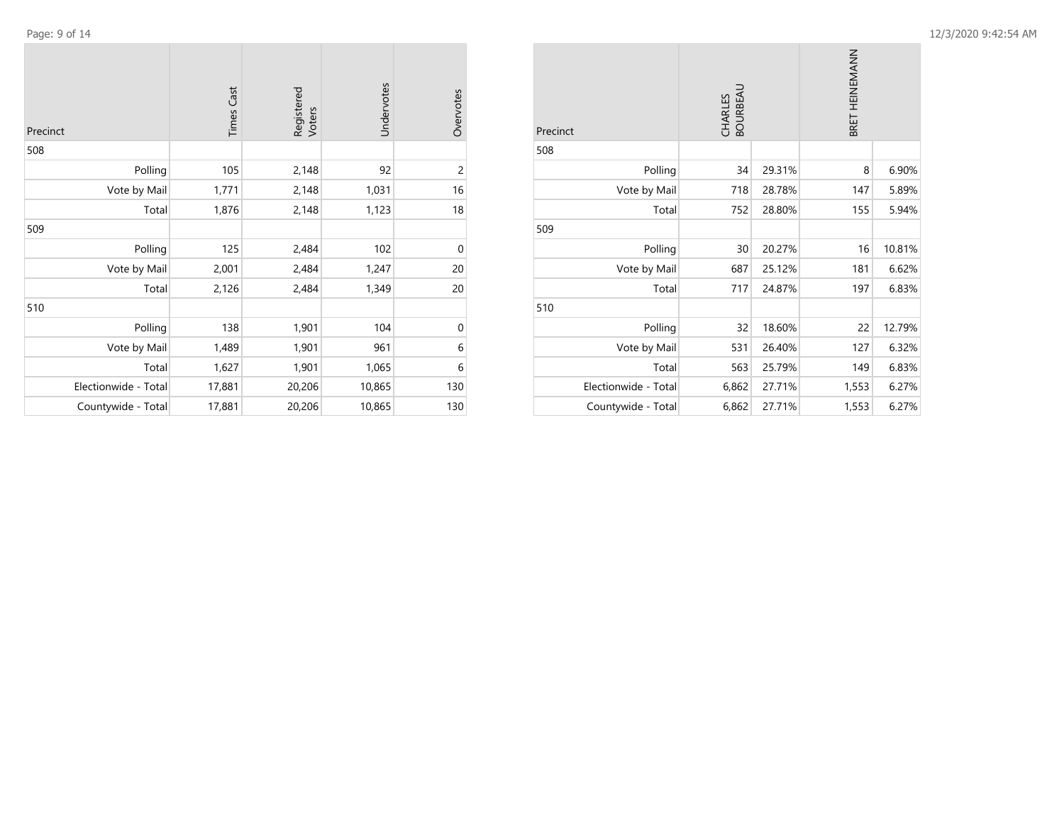| Precinct     | <b>Times Cast</b> | Registered<br>Voters | Undervotes | Overvotes      |
|--------------|-------------------|----------------------|------------|----------------|
| 508          |                   |                      |            |                |
| Polling      | 105               | 2,148                | 92         | $\overline{c}$ |
| Vote by Mail | 1,771             | 2,148                | 1,031      | 16             |
| Total        | 1,876             | 2,148                | 1,123      | 18             |
| 509          |                   |                      |            |                |
| Polling      | 125               | 2,484                | 102        | $\mathbf 0$    |
| Vote by Mail | 2,001             | 2,484                | 1,247      | 20             |
| Total        | 2,126             | 2,484                | 1,349      | 20             |
| 510          |                   |                      |            |                |
| Polling      | 138               | 1,901                | 104        | 0              |
| Vote by Mail | 1,489             | 1,901                | 961        | 6              |
| Total        | 1,627             | 1,901                | 1,065      | 6              |

Electionwide - Total 17,881 20,206 10,865 130 Countywide - Total 17,881 20,206 10,865 130

| Precinct             | CHARLES<br>BOURBEAU |        | BRET HEINEMANN |        |
|----------------------|---------------------|--------|----------------|--------|
| 508                  |                     |        |                |        |
| Polling              | 34                  | 29.31% | 8              | 6.90%  |
| Vote by Mail         | 718                 | 28.78% | 147            | 5.89%  |
| Total                | 752                 | 28.80% | 155            | 5.94%  |
| 509                  |                     |        |                |        |
| Polling              | 30                  | 20.27% | 16             | 10.81% |
| Vote by Mail         | 687                 | 25.12% | 181            | 6.62%  |
| Total                | 717                 | 24.87% | 197            | 6.83%  |
| 510                  |                     |        |                |        |
| Polling              | 32                  | 18.60% | 22             | 12.79% |
| Vote by Mail         | 531                 | 26.40% | 127            | 6.32%  |
| Total                | 563                 | 25.79% | 149            | 6.83%  |
| Electionwide - Total | 6,862               | 27.71% | 1,553          | 6.27%  |
| Countywide - Total   | 6,862               | 27.71% | 1,553          | 6.27%  |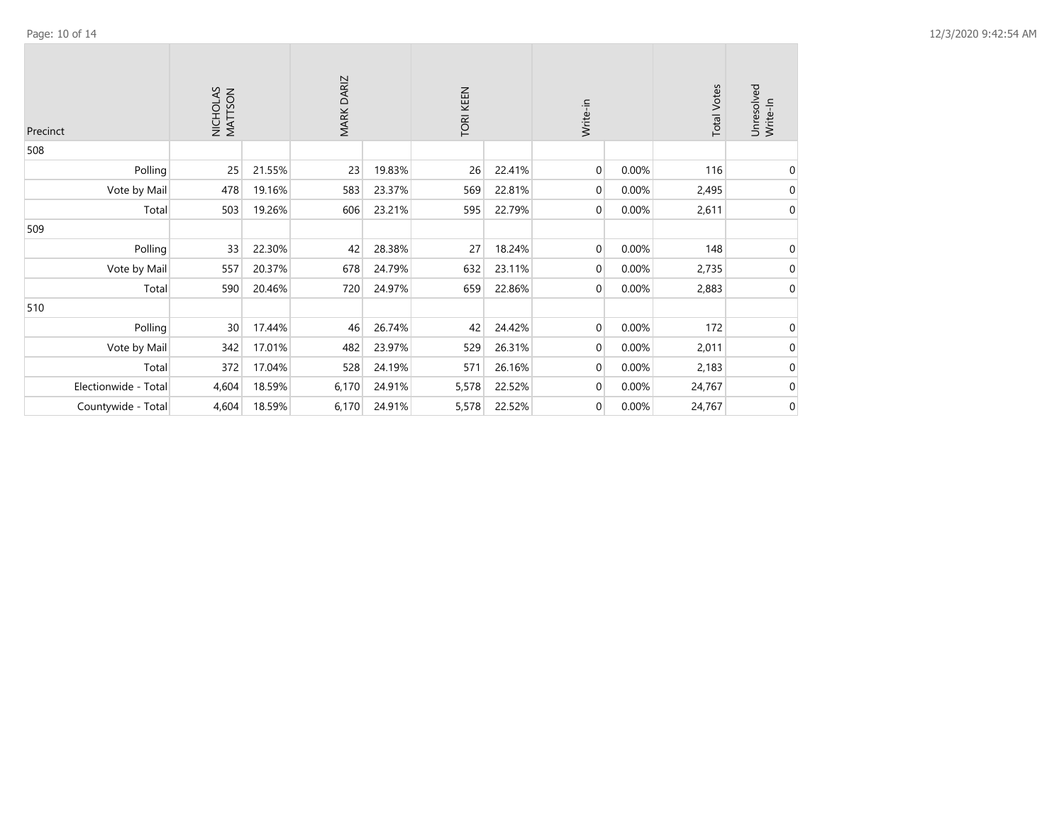| Precinct             | NICHOLAS<br>MATTSON |        | MARK DARIZ |        | TORI KEEN |        | Write-in       |       | <b>Total Votes</b> | Unresolved<br>Write-In |
|----------------------|---------------------|--------|------------|--------|-----------|--------|----------------|-------|--------------------|------------------------|
| 508                  |                     |        |            |        |           |        |                |       |                    |                        |
| Polling              | 25                  | 21.55% | 23         | 19.83% | 26        | 22.41% | $\overline{0}$ | 0.00% | 116                | 0                      |
| Vote by Mail         | 478                 | 19.16% | 583        | 23.37% | 569       | 22.81% | $\overline{0}$ | 0.00% | 2,495              | 0                      |
| Total                | 503                 | 19.26% | 606        | 23.21% | 595       | 22.79% | $\overline{0}$ | 0.00% | 2,611              | 0                      |
| 509                  |                     |        |            |        |           |        |                |       |                    |                        |
| Polling              | 33                  | 22.30% | 42         | 28.38% | 27        | 18.24% | $\overline{0}$ | 0.00% | 148                | 0                      |
| Vote by Mail         | 557                 | 20.37% | 678        | 24.79% | 632       | 23.11% | $\overline{0}$ | 0.00% | 2,735              | 0                      |
| Total                | 590                 | 20.46% | 720        | 24.97% | 659       | 22.86% | $\overline{0}$ | 0.00% | 2,883              | $\mathbf 0$            |
| 510                  |                     |        |            |        |           |        |                |       |                    |                        |
| Polling              | 30                  | 17.44% | 46         | 26.74% | 42        | 24.42% | $\overline{0}$ | 0.00% | 172                | 0                      |
| Vote by Mail         | 342                 | 17.01% | 482        | 23.97% | 529       | 26.31% | $\overline{0}$ | 0.00% | 2,011              | 0                      |
| Total                | 372                 | 17.04% | 528        | 24.19% | 571       | 26.16% | $\overline{0}$ | 0.00% | 2,183              | 0                      |
| Electionwide - Total | 4,604               | 18.59% | 6,170      | 24.91% | 5,578     | 22.52% | $\overline{0}$ | 0.00% | 24,767             | 0                      |
| Countywide - Total   | 4,604               | 18.59% | 6,170      | 24.91% | 5,578     | 22.52% | $\overline{0}$ | 0.00% | 24,767             | 0                      |

 $\sim$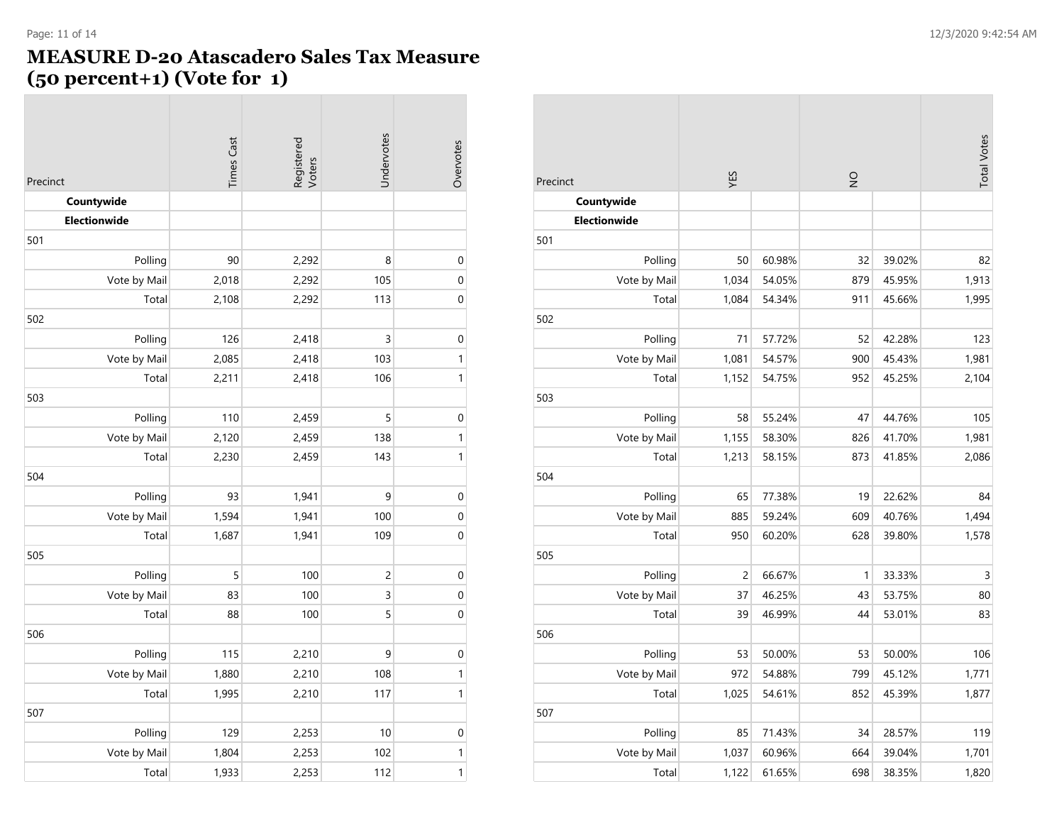### **MEASURE D-20 Atascadero Sales Tax Measure (50 percent+1) (Vote for 1)**

|              |                   | Registered<br>Voters | Undervotes     |              |
|--------------|-------------------|----------------------|----------------|--------------|
| Precinct     | <b>Times Cast</b> |                      |                | Overvotes    |
| Countywide   |                   |                      |                |              |
| Electionwide |                   |                      |                |              |
| 501          |                   |                      |                |              |
| Polling      | 90                | 2,292                | 8              | $\mathbf 0$  |
| Vote by Mail | 2,018             | 2,292                | 105            | $\mathbf 0$  |
| Total        | 2,108             | 2,292                | 113            | $\mathbf 0$  |
| 502          |                   |                      |                |              |
| Polling      | 126               | 2,418                | 3              | $\pmb{0}$    |
| Vote by Mail | 2,085             | 2,418                | 103            | $\mathbf{1}$ |
| Total        | 2,211             | 2,418                | 106            | $\mathbf{1}$ |
| 503          |                   |                      |                |              |
| Polling      | 110               | 2,459                | 5              | $\mathbf 0$  |
| Vote by Mail | 2,120             | 2,459                | 138            | $\mathbf{1}$ |
| Total        | 2,230             | 2,459                | 143            | $\mathbf{1}$ |
| 504          |                   |                      |                |              |
| Polling      | 93                | 1,941                | 9              | $\mathbf{0}$ |
| Vote by Mail | 1,594             | 1,941                | 100            | $\mathbf 0$  |
| Total        | 1,687             | 1,941                | 109            | $\mathbf 0$  |
| 505          |                   |                      |                |              |
| Polling      | 5                 | 100                  | $\overline{c}$ | $\mathbf 0$  |
| Vote by Mail | 83                | 100                  | 3              | $\mathbf{0}$ |
| Total        | 88                | 100                  | 5              | $\mathbf 0$  |
| 506          |                   |                      |                |              |
| Polling      | 115               | 2,210                | 9              | $\pmb{0}$    |
| Vote by Mail | 1,880             | 2,210                | 108            | $\mathbf{1}$ |
| Total        | 1,995             | 2,210                | 117            | $\mathbf{1}$ |
| 507          |                   |                      |                |              |
| Polling      | 129               | 2,253                | 10             | $\mathbf 0$  |
| Vote by Mail | 1,804             | 2,253                | 102            | $\mathbf{1}$ |
| Total        | 1,933             | 2,253                | 112            | $\mathbf{1}$ |

| Precinct            | YES            |        | $\frac{1}{2}$ |        | <b>Total Votes</b> |
|---------------------|----------------|--------|---------------|--------|--------------------|
| Countywide          |                |        |               |        |                    |
| <b>Electionwide</b> |                |        |               |        |                    |
| 501                 |                |        |               |        |                    |
| Polling             | 50             | 60.98% | 32            | 39.02% | 82                 |
| Vote by Mail        | 1,034          | 54.05% | 879           | 45.95% | 1,913              |
| Total               | 1,084          | 54.34% | 911           | 45.66% | 1,995              |
| 502                 |                |        |               |        |                    |
| Polling             | 71             | 57.72% | 52            | 42.28% | 123                |
| Vote by Mail        | 1,081          | 54.57% | 900           | 45.43% | 1,981              |
| Total               | 1,152          | 54.75% | 952           | 45.25% | 2,104              |
| 503                 |                |        |               |        |                    |
| Polling             | 58             | 55.24% | 47            | 44.76% | 105                |
| Vote by Mail        | 1,155          | 58.30% | 826           | 41.70% | 1,981              |
| Total               | 1,213          | 58.15% | 873           | 41.85% | 2,086              |
| 504                 |                |        |               |        |                    |
| Polling             | 65             | 77.38% | 19            | 22.62% | 84                 |
| Vote by Mail        | 885            | 59.24% | 609           | 40.76% | 1,494              |
| Total               | 950            | 60.20% | 628           | 39.80% | 1,578              |
| 505                 |                |        |               |        |                    |
| Polling             | $\overline{c}$ | 66.67% | $\mathbf{1}$  | 33.33% | $\overline{3}$     |
| Vote by Mail        | 37             | 46.25% | 43            | 53.75% | 80                 |
| Total               | 39             | 46.99% | 44            | 53.01% | 83                 |
| 506                 |                |        |               |        |                    |
| Polling             | 53             | 50.00% | 53            | 50.00% | 106                |
| Vote by Mail        | 972            | 54.88% | 799           | 45.12% | 1,771              |
| Total               | 1,025          | 54.61% | 852           | 45.39% | 1,877              |
| 507                 |                |        |               |        |                    |
| Polling             | 85             | 71.43% | 34            | 28.57% | 119                |
| Vote by Mail        | 1,037          | 60.96% | 664           | 39.04% | 1,701              |
| Total               | 1,122          | 61.65% | 698           | 38.35% | 1,820              |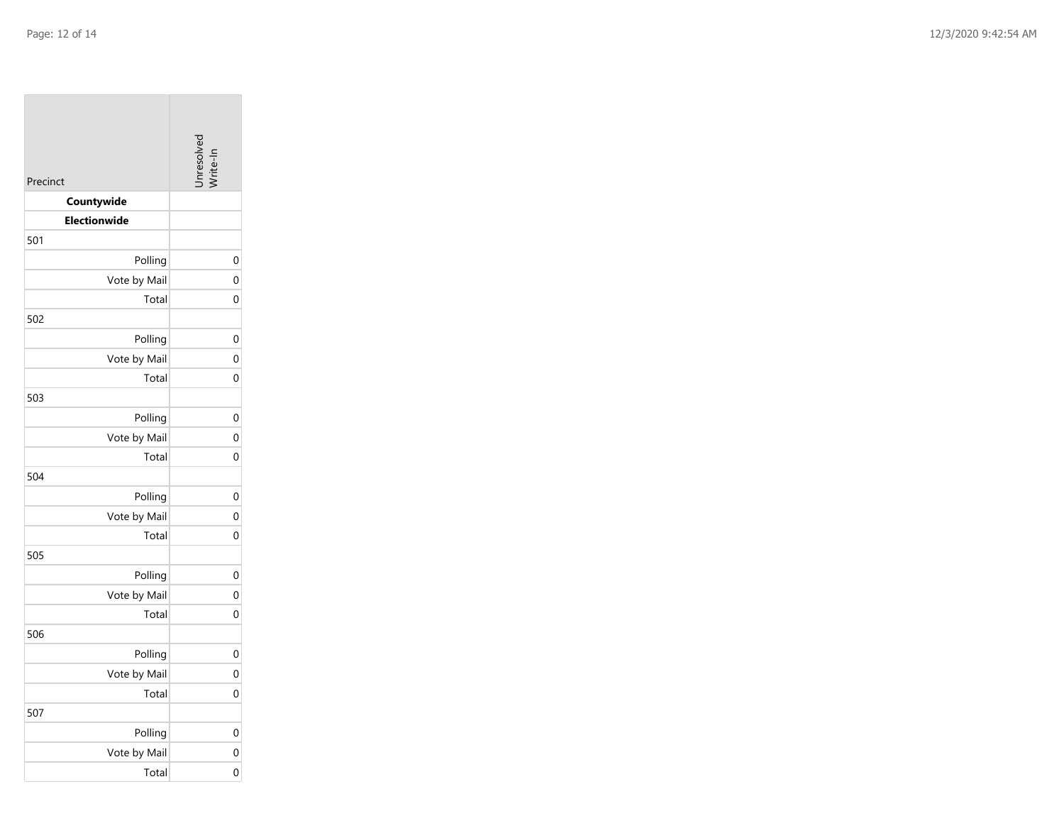| Precinct            | -Inresolv <sub>e</sub> |
|---------------------|------------------------|
| Countywide          |                        |
| <b>Electionwide</b> |                        |
| 501                 |                        |
| Polling             |                        |
| Vote by Mail        |                        |
| Total               |                        |
| 502                 |                        |
| Polling             |                        |
| Vote by Mail        |                        |
| Total               |                        |
| 503                 |                        |
| Polling             |                        |
| Vote by Mail        |                        |
| Total               |                        |
| 504                 |                        |
| Polling             |                        |
| Vote by Mail        |                        |
| Total               |                        |
| 505                 |                        |
| Polling             |                        |
| Vote by Mail        |                        |
| Total               |                        |
| 506                 |                        |
| Polling             |                        |
| Vote by Mail        |                        |
| Total               |                        |
| 507                 |                        |
| Polling             |                        |
| Vote by Mail        |                        |
| Total               |                        |

0

0

0

0

0

0

0

0

0

0

0

0

0

0

0

0

0

0

0

0

0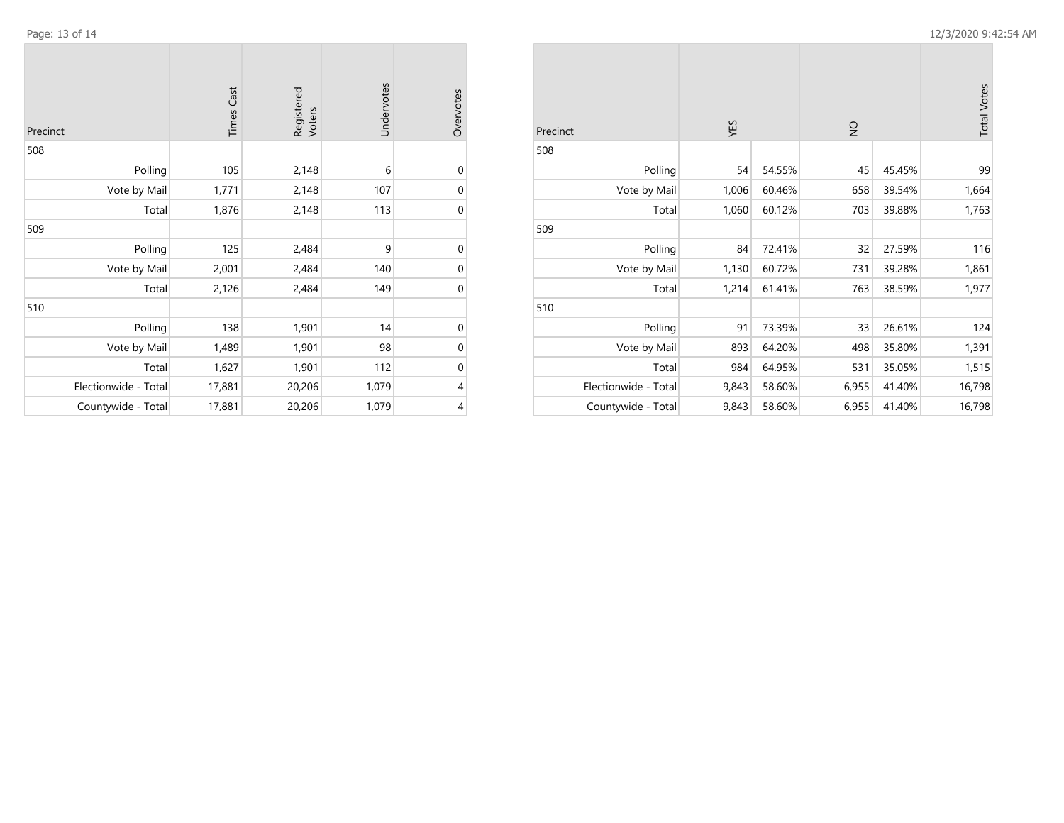| Page: 13 of 14 |               |                      |            |           |              |       |        |               |        | 12/3/2020 9:42:54 AM |
|----------------|---------------|----------------------|------------|-----------|--------------|-------|--------|---------------|--------|----------------------|
| Precinct       | Cast<br>Times | Registered<br>Voters | Undervotes | Overvotes | Precinct     | YES   |        | $\frac{1}{2}$ |        | <b>Total Votes</b>   |
| 508            |               |                      |            |           | 508          |       |        |               |        |                      |
| Polling        | 105           | 2,148                |            | $\Omega$  | Polling      | 54    | 54.55% | 45            | 45.45% | 99                   |
| Vote by Mail   | 1,771         | 2,148                | 107        | 0         | Vote by Mail | 1,006 | 60.46% | 658           | 39.54% | 1,664                |
| Total          | 1,876         | 2,148                | 113        | 0         | Total        | 1,060 | 60.12% | 703           | 39.88% | 1,763                |
| 509            |               |                      |            |           | 509          |       |        |               |        |                      |
| Polling        | 125           | 2,484                | a          | 0         | Polling      | 84    | 72.41% | 32            | 27.59% | 116                  |
| Vote by Mail   | 2,001         | 2,484                | 140        | $\Omega$  | Vote by Mail | 1,130 | 60.72% | 731           | 39.28% | 1,861                |
| Total          | 2,126         | 2,484                | 149        | 0         | Total        | 1,214 | 61.41% | 763           | 38.59% | 1,977                |
| 510            |               |                      |            |           | 510          |       |        |               |        |                      |
| Polling        | 138           | 1,901                | 14         | 0         | Polling      | 91    | 73.39% | 33            | 26.61% | 124                  |

Vote by Mail 1,489 1,901 98 0 Total 1,627 1,901 112 0

Electionwide - Total 17,881 20,206 1,079 4 Countywide - Total 17,881 20,206 1,079 4

| Precinct             | YES   |        | $\frac{1}{2}$ | <b>Total Votes</b> |        |
|----------------------|-------|--------|---------------|--------------------|--------|
| 508                  |       |        |               |                    |        |
| Polling              | 54    | 54.55% | 45            | 45.45%             | 99     |
| Vote by Mail         | 1,006 | 60.46% | 658           | 39.54%             | 1,664  |
| Total                | 1,060 | 60.12% | 703           | 39.88%             | 1,763  |
| 509                  |       |        |               |                    |        |
| Polling              | 84    | 72.41% | 32            | 27.59%             | 116    |
| Vote by Mail         | 1,130 | 60.72% | 731           | 39.28%             | 1,861  |
| Total                | 1,214 | 61.41% | 763           | 38.59%             | 1,977  |
| 510                  |       |        |               |                    |        |
| Polling              | 91    | 73.39% | 33            | 26.61%             | 124    |
| Vote by Mail         | 893   | 64.20% | 498           | 35.80%             | 1,391  |
| Total                | 984   | 64.95% | 531           | 35.05%             | 1,515  |
| Electionwide - Total | 9,843 | 58.60% | 6,955         | 41.40%             | 16,798 |
| Countywide - Total   | 9,843 | 58.60% | 6,955         | 41.40%             | 16,798 |